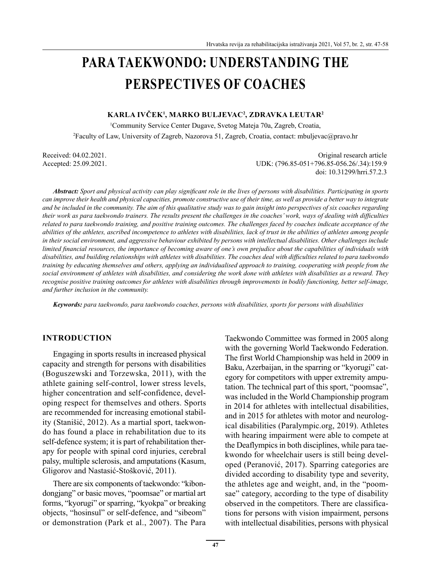# **PARA TAEKWONDO: UNDERSTANDING THE PERSPECTIVES OF COACHES**

#### **KARLA IVČEK<sup>1</sup> , MARKO BULJEVAC<sup>2</sup> , ZDRAVKA LEUTAR<sup>2</sup>**

1 Community Service Center Dugave, Svetog Mateja 70a, Zagreb, Croatia, 2 Faculty of Law, University of Zagreb, Nazorova 51, Zagreb, Croatia, contact: mbuljevac@pravo.hr

Received: 04.02.2021. Criginal research article Accepted: 25.09.2021. UDK: (796.85-051+796.85-056.26/.34):159.9 doi: 10.31299/hrri.57.2.3

*Abstract: Sport and physical activity can play significant role in the lives of persons with disabilities. Participating in sports can improve their health and physical capacities, promote constructive use of their time, as well as provide a better way to integrate and be included in the community. The aim of this qualitative study was to gain insight into perspectives of six coaches regarding their work as para taekwondo trainers. The results present the challenges in the coaches' work, ways of dealing with difficulties related to para taekwondo training, and positive training outcomes. The challenges faced by coaches indicate acceptance of the abilities of the athletes, ascribed incompetence to athletes with disabilities, lack of trust in the abilities of athletes among people in their social environment, and aggressive behaviour exhibited by persons with intellectual disabilities. Other challenges include limited financial resources, the importance of becoming aware of one's own prejudice about the capabilities of individuals with disabilities, and building relationships with athletes with disabilities. The coaches deal with difficulties related to para taekwondo training by educating themselves and others, applying an individualised approach to training, cooperating with people from the social environment of athletes with disabilities, and considering the work done with athletes with disabilities as a reward. They recognise positive training outcomes for athletes with disabilities through improvements in bodily functioning, better self-image, and further inclusion in the community.*

*Keywords: para taekwondo, para taekwondo coaches, persons with disabilities, sports for persons with disabilities*

#### **INTRODUCTION**

Engaging in sports results in increased physical capacity and strength for persons with disabilities (Boguszewski and Torzewska, 2011), with the athlete gaining self-control, lower stress levels, higher concentration and self-confidence, developing respect for themselves and others. Sports are recommended for increasing emotional stability (Stanišić, 2012). As a martial sport, taekwondo has found a place in rehabilitation due to its self-defence system; it is part of rehabilitation therapy for people with spinal cord injuries, cerebral palsy, multiple sclerosis, and amputations (Kasum, Gligorov and Nastasić-Stošković, 2011).

There are six components of taekwondo: "kibondongjang" or basic moves, "poomsae" or martial art forms, "kyorugi" or sparring, "kyokpa" or breaking objects, "hosinsul" or self-defence, and "sibeom" or demonstration (Park et al., 2007). The Para Taekwondo Committee was formed in 2005 along with the governing World Taekwondo Federation. The first World Championship was held in 2009 in Baku, Azerbaijan, in the sparring or "kyorugi" category for competitors with upper extremity amputation. The technical part of this sport, "poomsae", was included in the World Championship program in 2014 for athletes with intellectual disabilities, and in 2015 for athletes with motor and neurological disabilities (Paralympic.org, 2019). Athletes with hearing impairment were able to compete at the Deaflympics in both disciplines, while para taekwondo for wheelchair users is still being developed (Peranović, 2017). Sparring categories are divided according to disability type and severity, the athletes age and weight, and, in the "poomsae" category, according to the type of disability observed in the competitors. There are classifications for persons with vision impairment, persons with intellectual disabilities, persons with physical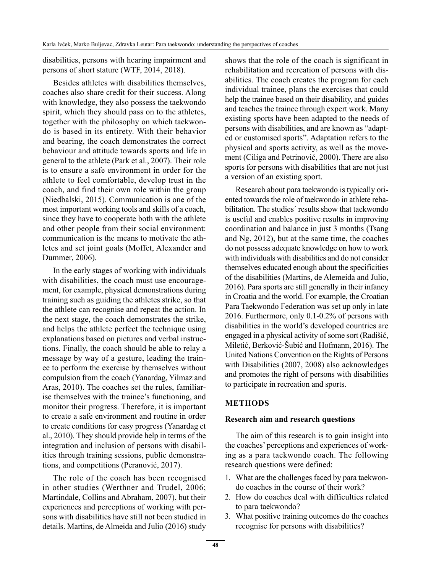disabilities, persons with hearing impairment and persons of short stature (WTF, 2014, 2018).

Besides athletes with disabilities themselves, coaches also share credit for their success. Along with knowledge, they also possess the taekwondo spirit, which they should pass on to the athletes, together with the philosophy on which taekwondo is based in its entirety. With their behavior and bearing, the coach demonstrates the correct behaviour and attitude towards sports and life in general to the athlete (Park et al., 2007). Their role is to ensure a safe environment in order for the athlete to feel comfortable, develop trust in the coach, and find their own role within the group (Niedbalski, 2015). Communication is one of the most important working tools and skills of a coach, since they have to cooperate both with the athlete and other people from their social environment: communication is the means to motivate the athletes and set joint goals (Moffet, Alexander and Dummer, 2006).

In the early stages of working with individuals with disabilities, the coach must use encouragement, for example, physical demonstrations during training such as guiding the athletes strike, so that the athlete can recognise and repeat the action. In the next stage, the coach demonstrates the strike, and helps the athlete perfect the technique using explanations based on pictures and verbal instructions. Finally, the coach should be able to relay a message by way of a gesture, leading the trainee to perform the exercise by themselves without compulsion from the coach (Yanardag, Yilmaz and Aras, 2010). The coaches set the rules, familiarise themselves with the trainee's functioning, and monitor their progress. Therefore, it is important to create a safe environment and routine in order to create conditions for easy progress (Yanardag et al., 2010). They should provide help in terms of the integration and inclusion of persons with disabilities through training sessions, public demonstrations, and competitions (Peranović, 2017).

The role of the coach has been recognised in other studies (Werthner and Trudel, 2006; Martindale, Collins and Abraham, 2007), but their experiences and perceptions of working with persons with disabilities have still not been studied in details. Martins, de Almeida and Julio (2016) study shows that the role of the coach is significant in rehabilitation and recreation of persons with disabilities. The coach creates the program for each individual trainee, plans the exercises that could help the trainee based on their disability, and guides and teaches the trainee through expert work. Many existing sports have been adapted to the needs of persons with disabilities, and are known as "adapted or customised sports". Adaptation refers to the physical and sports activity, as well as the movement (Ciliga and Petrinović, 2000). There are also sports for persons with disabilities that are not just a version of an existing sport.

Research about para taekwondo is typically oriented towards the role of taekwondo in athlete rehabilitation. The studies´ results show that taekwondo is useful and enables positive results in improving coordination and balance in just 3 months (Tsang and Ng, 2012), but at the same time, the coaches do not possess adequate knowledge on how to work with individuals with disabilities and do not consider themselves educated enough about the specificities of the disabilities (Martins, de Alemeida and Julio, 2016). Para sports are still generally in their infancy in Croatia and the world. For example, the Croatian Para Taekwondo Federation was set up only in late 2016. Furthermore, only 0.1-0.2% of persons with disabilities in the world's developed countries are engaged in a physical activity of some sort (Radišić, Miletić, Berković-Šubić and Hofmann, 2016). The United Nations Convention on the Rights of Persons with Disabilities (2007, 2008) also acknowledges and promotes the right of persons with disabilities to participate in recreation and sports.

#### **METHODS**

#### **Research aim and research questions**

The aim of this research is to gain insight into the coaches' perceptions and experiences of working as a para taekwondo coach. The following research questions were defined:

- 1. What are the challenges faced by para taekwondo coaches in the course of their work?
- 2. How do coaches deal with difficulties related to para taekwondo?
- 3. What positive training outcomes do the coaches recognise for persons with disabilities?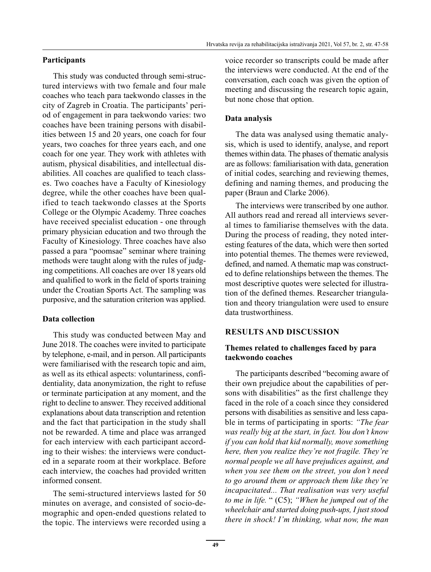## **Participants**

This study was conducted through semi-structured interviews with two female and four male coaches who teach para taekwondo classes in the city of Zagreb in Croatia. The participants' period of engagement in para taekwondo varies: two coaches have been training persons with disabilities between 15 and 20 years, one coach for four years, two coaches for three years each, and one coach for one year. They work with athletes with autism, physical disabilities, and intellectual disabilities. All coaches are qualified to teach classes. Two coaches have a Faculty of Kinesiology degree, while the other coaches have been qualified to teach taekwondo classes at the Sports College or the Olympic Academy. Three coaches have received specialist education - one through primary physician education and two through the Faculty of Kinesiology. Three coaches have also passed a para "poomsae" seminar where training methods were taught along with the rules of judging competitions. All coaches are over 18 years old and qualified to work in the field of sports training under the Croatian Sports Act. The sampling was purposive, and the saturation criterion was applied.

## **Data collection**

This study was conducted between May and June 2018. The coaches were invited to participate by telephone, e-mail, and in person. All participants were familiarised with the research topic and aim, as well as its ethical aspects: voluntariness, confidentiality, data anonymization, the right to refuse or terminate participation at any moment, and the right to decline to answer. They received additional explanations about data transcription and retention and the fact that participation in the study shall not be rewarded. A time and place was arranged for each interview with each participant according to their wishes: the interviews were conducted in a separate room at their workplace. Before each interview, the coaches had provided written informed consent.

The semi-structured interviews lasted for 50 minutes on average, and consisted of socio-demographic and open-ended questions related to the topic. The interviews were recorded using a voice recorder so transcripts could be made after the interviews were conducted. At the end of the conversation, each coach was given the option of meeting and discussing the research topic again, but none chose that option.

## **Data analysis**

The data was analysed using thematic analysis, which is used to identify, analyse, and report themes within data. The phases of thematic analysis are as follows: familiarisation with data, generation of initial codes, searching and reviewing themes, defining and naming themes, and producing the paper (Braun and Clarke 2006).

The interviews were transcribed by one author. All authors read and reread all interviews several times to familiarise themselves with the data. During the process of reading, they noted interesting features of the data, which were then sorted into potential themes. The themes were reviewed, defined, and named. A thematic map was constructed to define relationships between the themes. The most descriptive quotes were selected for illustration of the defined themes. Researcher triangulation and theory triangulation were used to ensure data trustworthiness.

## **RESULTS AND DISCUSSION**

## **Themes related to challenges faced by para taekwondo coaches**

The participants described "becoming aware of their own prejudice about the capabilities of persons with disabilities" as the first challenge they faced in the role of a coach since they considered persons with disabilities as sensitive and less capable in terms of participating in sports: *"The fear was really big at the start, in fact. You don't know if you can hold that kid normally, move something here, then you realize they're not fragile. They're normal people we all have prejudices against, and when you see them on the street, you don't need to go around them or approach them like they're incapacitated... That realisation was very useful to me in life.* " (C5); *"When he jumped out of the wheelchair and started doing push-ups, I just stood there in shock! I'm thinking, what now, the man*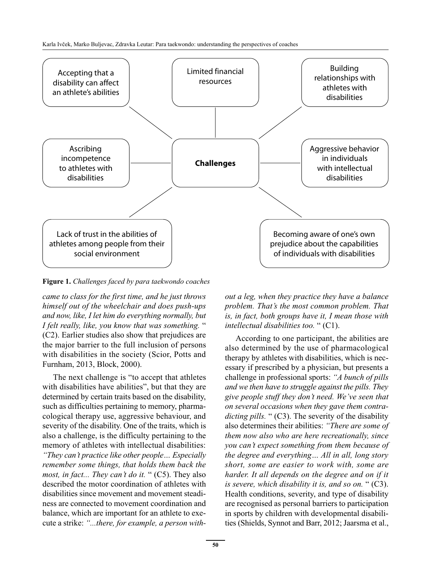

**Figure 1.** *Challenges faced by para taekwondo coaches*

*came to class for the first time, and he just throws himself out of the wheelchair and does push-ups and now, like, I let him do everything normally, but I felt really, like, you know that was something.* " (C2). Earlier studies also show that prejudices are the major barrier to the full inclusion of persons with disabilities in the society (Scior, Potts and Furnham, 2013, Block, 2000).

The next challenge is "to accept that athletes with disabilities have abilities", but that they are determined by certain traits based on the disability, such as difficulties pertaining to memory, pharmacological therapy use, aggressive behaviour, and severity of the disability. One of the traits, which is also a challenge, is the difficulty pertaining to the memory of athletes with intellectual disabilities: *"They can't practice like other people… Especially remember some things, that holds them back the most, in fact... They can't do it.* " (C5). They also described the motor coordination of athletes with disabilities since movement and movement steadi-

ness are connected to movement coordination and balance, which are important for an athlete to execute a strike: *"...there, for example, a person with-*

*out a leg, when they practice they have a balance problem. That's the most common problem. That is, in fact, both groups have it, I mean those with intellectual disabilities too.* " (C1).

According to one participant, the abilities are also determined by the use of pharmacological therapy by athletes with disabilities, which is necessary if prescribed by a physician, but presents a challenge in professional sports: *"A bunch of pills and we then have to struggle against the pills. They give people stuff they don't need. We've seen that on several occasions when they gave them contradicting pills.* " (C3). The severity of the disability also determines their abilities: *"There are some of them now also who are here recreationally, since you can't expect something from them because of the degree and everything… All in all, long story short, some are easier to work with, some are harder. It all depends on the degree and on if it is severe, which disability it is, and so on.* " (C3). Health conditions, severity, and type of disability are recognised as personal barriers to participation in sports by children with developmental disabilities (Shields, Synnot and Barr, 2012; Jaarsma et al.,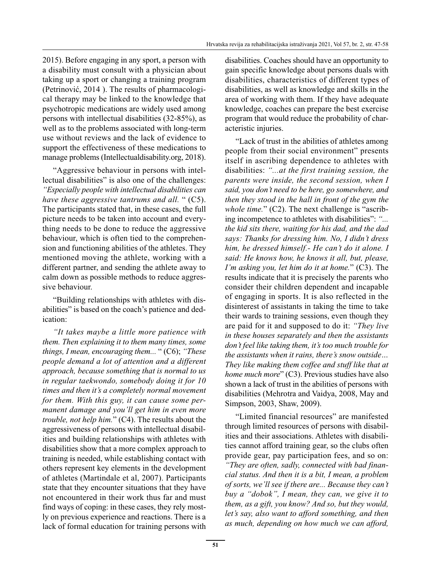2015). Before engaging in any sport, a person with a disability must consult with a physician about taking up a sport or changing a training program (Petrinović, 2014 ). The results of pharmacological therapy may be linked to the knowledge that psychotropic medications are widely used among persons with intellectual disabilities (32-85%), as well as to the problems associated with long-term use without reviews and the lack of evidence to support the effectiveness of these medications to manage problems (Intellectualdisability.org, 2018).

"Aggressive behaviour in persons with intellectual disabilities" is also one of the challenges: *"Especially people with intellectual disabilities can have these aggressive tantrums and all.* " (C5). The participants stated that, in these cases, the full picture needs to be taken into account and everything needs to be done to reduce the aggressive behaviour, which is often tied to the comprehension and functioning abilities of the athletes. They mentioned moving the athlete, working with a different partner, and sending the athlete away to calm down as possible methods to reduce aggressive behaviour.

"Building relationships with athletes with disabilities" is based on the coach's patience and dedication:

*"It takes maybe a little more patience with them. Then explaining it to them many times, some things, I mean, encouraging them...* " (C6); *"These people demand a lot of attention and a different approach, because something that is normal to us in regular taekwondo, somebody doing it for 10 times and then it's a completely normal movement for them. With this guy, it can cause some permanent damage and you'll get him in even more trouble, not help him.*" (C4). The results about the aggressiveness of persons with intellectual disabilities and building relationships with athletes with disabilities show that a more complex approach to training is needed, while establishing contact with others represent key elements in the development of athletes (Martindale et al, 2007). Participants state that they encounter situations that they have not encountered in their work thus far and must find ways of coping: in these cases, they rely mostly on previous experience and reactions. There is a lack of formal education for training persons with disabilities. Coaches should have an opportunity to gain specific knowledge about persons duals with disabilities, characteristics of different types of disabilities, as well as knowledge and skills in the area of working with them. If they have adequate knowledge, coaches can prepare the best exercise program that would reduce the probability of characteristic injuries.

"Lack of trust in the abilities of athletes among people from their social environment" presents itself in ascribing dependence to athletes with disabilities: *"...at the first training session, the parents were inside, the second session, when I said, you don't need to be here, go somewhere, and then they stood in the hall in front of the gym the whole time.*" (C2). The next challenge is "ascribing incompetence to athletes with disabilities": *"... the kid sits there, waiting for his dad, and the dad says: Thanks for dressing him. No, I didn't dress him, he dressed himself.- He can't do it alone. I said: He knows how, he knows it all, but, please, I'm asking you, let him do it at home.*" (C3). The results indicate that it is precisely the parents who consider their children dependent and incapable of engaging in sports. It is also reflected in the disinterest of assistants in taking the time to take their wards to training sessions, even though they are paid for it and supposed to do it: *"They live in these houses separately and then the assistants don't feel like taking them, it's too much trouble for the assistants when it rains, there's snow outside… They like making them coffee and stuff like that at home much more*" (C3). Previous studies have also shown a lack of trust in the abilities of persons with disabilities (Mehrotra and Vaidya, 2008, May and Simpson, 2003, Shaw, 2009).

"Limited financial resources" are manifested through limited resources of persons with disabilities and their associations. Athletes with disabilities cannot afford training gear, so the clubs often provide gear, pay participation fees, and so on: *"They are often, sadly, connected with bad financial status. And then it is a bit, I mean, a problem of sorts, we'll see if there are... Because they can't buy a "dobok", I mean, they can, we give it to them, as a gift, you know? And so, but they would, let's say, also want to afford something, and then as much, depending on how much we can afford,*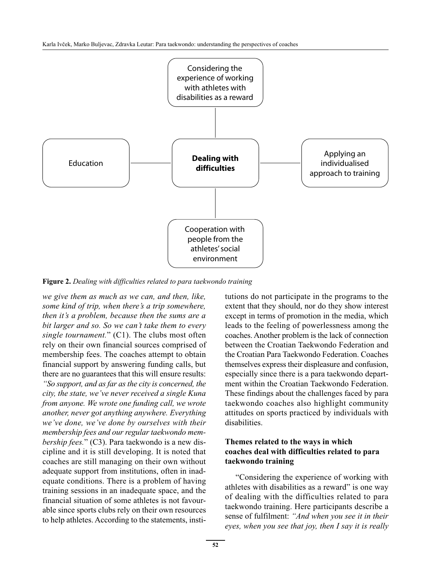

**Figure 2.** *Dealing with difficulties related to para taekwondo training*

*we give them as much as we can, and then, like, some kind of trip, when there's a trip somewhere, then it's a problem, because then the sums are a bit larger and so. So we can't take them to every single tournament.*" (C1). The clubs most often rely on their own financial sources comprised of membership fees. The coaches attempt to obtain financial support by answering funding calls, but there are no guarantees that this will ensure results: *"So support, and as far as the city is concerned, the city, the state, we've never received a single Kuna from anyone. We wrote one funding call, we wrote another, never got anything anywhere. Everything we've done, we've done by ourselves with their membership fees and our regular taekwondo membership fees.*" (C3). Para taekwondo is a new discipline and it is still developing. It is noted that coaches are still managing on their own without adequate support from institutions, often in inadequate conditions. There is a problem of having training sessions in an inadequate space, and the financial situation of some athletes is not favourable since sports clubs rely on their own resources to help athletes. According to the statements, institutions do not participate in the programs to the extent that they should, nor do they show interest except in terms of promotion in the media, which leads to the feeling of powerlessness among the coaches. Another problem is the lack of connection between the Croatian Taekwondo Federation and the Croatian Para Taekwondo Federation. Coaches themselves express their displeasure and confusion, especially since there is a para taekwondo department within the Croatian Taekwondo Federation. These findings about the challenges faced by para taekwondo coaches also highlight community attitudes on sports practiced by individuals with disabilities.

#### **Themes related to the ways in which coaches deal with difficulties related to para taekwondo training**

"Considering the experience of working with athletes with disabilities as a reward" is one way of dealing with the difficulties related to para taekwondo training. Here participants describe a sense of fulfilment: *"And when you see it in their eyes, when you see that joy, then I say it is really*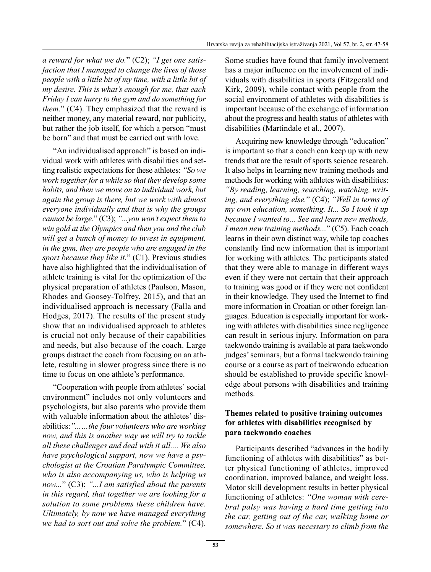*a reward for what we do.*" (C2); *"I get one satisfaction that I managed to change the lives of those people with a little bit of my time, with a little bit of my desire. This is what's enough for me, that each Friday I can hurry to the gym and do something for them.*" (C4). They emphasized that the reward is neither money, any material reward, nor publicity, but rather the job itself, for which a person "must be born" and that must be carried out with love.

"An individualised approach" is based on individual work with athletes with disabilities and setting realistic expectations for these athletes: *"So we work together for a while so that they develop some habits, and then we move on to individual work, but again the group is there, but we work with almost everyone individually and that is why the groups cannot be large.*" (C3); *"...you won't expect them to win gold at the Olympics and then you and the club will get a bunch of money to invest in equipment, in the gym, they are people who are engaged in the sport because they like it.*" (C1). Previous studies have also highlighted that the individualisation of athlete training is vital for the optimization of the physical preparation of athletes (Paulson, Mason, Rhodes and Goosey-Tolfrey, 2015), and that an individualised approach is necessary (Falla and Hodges, 2017). The results of the present study show that an individualised approach to athletes is crucial not only because of their capabilities and needs, but also because of the coach. Large groups distract the coach from focusing on an athlete, resulting in slower progress since there is no time to focus on one athlete's performance.

"Cooperation with people from athletes´ social environment" includes not only volunteers and psychologists, but also parents who provide them with valuable information about the athletes' disabilities:*"...…the four volunteers who are working now, and this is another way we will try to tackle all these challenges and deal with it all.... We also have psychological support, now we have a psychologist at the Croatian Paralympic Committee, who is also accompanying us, who is helping us now...*" (C3); *"...I am satisfied about the parents in this regard, that together we are looking for a solution to some problems these children have. Ultimately, by now we have managed everything we had to sort out and solve the problem.*" (C4). Some studies have found that family involvement has a major influence on the involvement of individuals with disabilities in sports (Fitzgerald and Kirk, 2009), while contact with people from the social environment of athletes with disabilities is important because of the exchange of information about the progress and health status of athletes with disabilities (Martindale et al., 2007).

Acquiring new knowledge through "education" is important so that a coach can keep up with new trends that are the result of sports science research. It also helps in learning new training methods and methods for working with athletes with disabilities: *"By reading, learning, searching, watching, writing, and everything else.*" (C4); *"Well in terms of my own education, something. It... So I took it up because I wanted to... See and learn new methods, I mean new training methods...*" (C5). Each coach learns in their own distinct way, while top coaches constantly find new information that is important for working with athletes. The participants stated that they were able to manage in different ways even if they were not certain that their approach to training was good or if they were not confident in their knowledge. They used the Internet to find more information in Croatian or other foreign languages. Education is especially important for working with athletes with disabilities since negligence can result in serious injury. Information on para taekwondo training is available at para taekwondo judges' seminars, but a formal taekwondo training course or a course as part of taekwondo education should be established to provide specific knowledge about persons with disabilities and training methods.

## **Themes related to positive training outcomes for athletes with disabilities recognised by para taekwondo coaches**

Participants described "advances in the bodily functioning of athletes with disabilities" as better physical functioning of athletes, improved coordination, improved balance, and weight loss. Motor skill development results in better physical functioning of athletes: *"One woman with cerebral palsy was having a hard time getting into the car, getting out of the car, walking home or somewhere. So it was necessary to climb from the*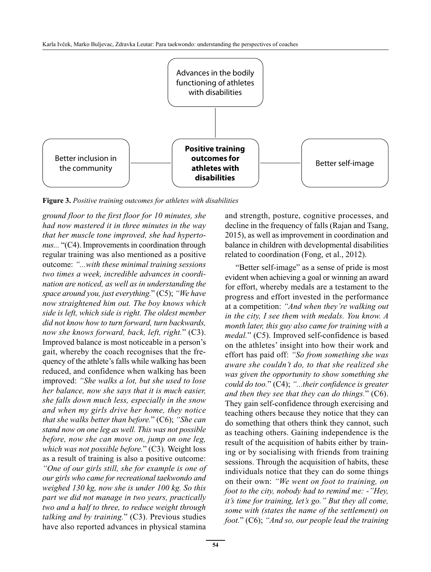

**Figure 3.** *Positive training outcomes for athletes with disabilities*

*ground floor to the first floor for 10 minutes, she had now mastered it in three minutes in the way that her muscle tone improved, she had hypertonus...* "(C4). Improvements in coordination through regular training was also mentioned as a positive outcome: *"...with these minimal training sessions two times a week, incredible advances in coordination are noticed, as well as in understanding the space around you, just everything.*" (C5); *"We have now straightened him out. The boy knows which side is left, which side is right. The oldest member did not know how to turn forward, turn backwards, now she knows forward, back, left, right.*" (C3). Improved balance is most noticeable in a person's gait, whereby the coach recognises that the frequency of the athlete's falls while walking has been reduced, and confidence when walking has been improved: *"She walks a lot, but she used to lose her balance, now she says that it is much easier, she falls down much less, especially in the snow and when my girls drive her home, they notice that she walks better than before.*" (C6); *"She can stand now on one leg as well. This was not possible before, now she can move on, jump on one leg, which was not possible before.*" (C3). Weight loss as a result of training is also a positive outcome: *"One of our girls still, she for example is one of our girls who came for recreational taekwondo and weighed 130 kg, now she is under 100 kg. So this part we did not manage in two years, practically two and a half to three, to reduce weight through talking and by training.*" (C3). Previous studies have also reported advances in physical stamina

and strength, posture, cognitive processes, and decline in the frequency of falls (Rajan and Tsang, 2015), as well as improvement in coordination and balance in children with developmental disabilities related to coordination (Fong, et al., 2012).

"Better self-image" as a sense of pride is most evident when achieving a goal or winning an award for effort, whereby medals are a testament to the progress and effort invested in the performance at a competition: *"And when they're walking out in the city, I see them with medals. You know. A month later, this guy also came for training with a medal.*" (C5). Improved self-confidence is based on the athletes' insight into how their work and effort has paid off: *"So from something she was aware she couldn't do, to that she realized she was given the opportunity to show something she could do too.*" (C4); *"...their confidence is greater and then they see that they can do things.*" (C6). They gain self-confidence through exercising and teaching others because they notice that they can do something that others think they cannot, such as teaching others. Gaining independence is the result of the acquisition of habits either by training or by socialising with friends from training sessions. Through the acquisition of habits, these individuals notice that they can do some things on their own: *"We went on foot to training, on foot to the city, nobody had to remind me: -"Hey, it's time for training, let's go." But they all come, some with (states the name of the settlement) on foot.*" (C6); *"And so, our people lead the training*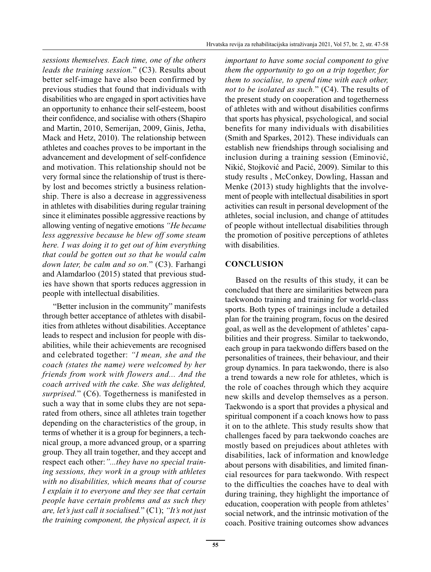*sessions themselves. Each time, one of the others leads the training session.*" (C3). Results about better self-image have also been confirmed by previous studies that found that individuals with disabilities who are engaged in sport activities have an opportunity to enhance their self-esteem, boost their confidence, and socialise with others (Shapiro and Martin, 2010, Semerijan, 2009, Ginis, Jetha, Mack and Hetz, 2010). The relationship between athletes and coaches proves to be important in the advancement and development of self-confidence and motivation. This relationship should not be very formal since the relationship of trust is thereby lost and becomes strictly a business relationship. There is also a decrease in aggressiveness in athletes with disabilities during regular training since it eliminates possible aggressive reactions by allowing venting of negative emotions *"He became less aggressive because he blew off some steam here. I was doing it to get out of him everything that could be gotten out so that he would calm down later, be calm and so on.*" (C3). Farhangi and Alamdarloo (2015) stated that previous studies have shown that sports reduces aggression in people with intellectual disabilities.

"Better inclusion in the community" manifests through better acceptance of athletes with disabilities from athletes without disabilities. Acceptance leads to respect and inclusion for people with disabilities, while their achievements are recognised and celebrated together: *"I mean, she and the coach (states the name) were welcomed by her friends from work with flowers and... And the coach arrived with the cake. She was delighted, surprised.*" (C6). Togetherness is manifested in such a way that in some clubs they are not separated from others, since all athletes train together depending on the characteristics of the group, in terms of whether it is a group for beginners, a technical group, a more advanced group, or a sparring group. They all train together, and they accept and respect each other:*"...they have no special training sessions, they work in a group with athletes with no disabilities, which means that of course I explain it to everyone and they see that certain people have certain problems and as such they are, let's just call it socialised.*" (C1); *"It's not just the training component, the physical aspect, it is*  *important to have some social component to give them the opportunity to go on a trip together, for them to socialise, to spend time with each other, not to be isolated as such.*" (C4). The results of the present study on cooperation and togetherness of athletes with and without disabilities confirms that sports has physical, psychological, and social benefits for many individuals with disabilities (Smith and Sparkes, 2012). These individuals can establish new friendships through socialising and inclusion during a training session (Eminović, Nikić, Stojković and Pacić, 2009). Similar to this study results , McConkey, Dowling, Hassan and Menke (2013) study highlights that the involvement of people with intellectual disabilities in sport activities can result in personal development of the athletes, social inclusion, and change of attitudes of people without intellectual disabilities through the promotion of positive perceptions of athletes with disabilities.

## **CONCLUSION**

Based on the results of this study, it can be concluded that there are similarities between para taekwondo training and training for world-class sports. Both types of trainings include a detailed plan for the training program, focus on the desired goal, as well as the development of athletes' capabilities and their progress. Similar to taekwondo, each group in para taekwondo differs based on the personalities of trainees, their behaviour, and their group dynamics. In para taekwondo, there is also a trend towards a new role for athletes, which is the role of coaches through which they acquire new skills and develop themselves as a person. Taekwondo is a sport that provides a physical and spiritual component if a coach knows how to pass it on to the athlete. This study results show that challenges faced by para taekwondo coaches are mostly based on prejudices about athletes with disabilities, lack of information and knowledge about persons with disabilities, and limited financial resources for para taekwondo. With respect to the difficulties the coaches have to deal with during training, they highlight the importance of education, cooperation with people from athletes' social network, and the intrinsic motivation of the coach. Positive training outcomes show advances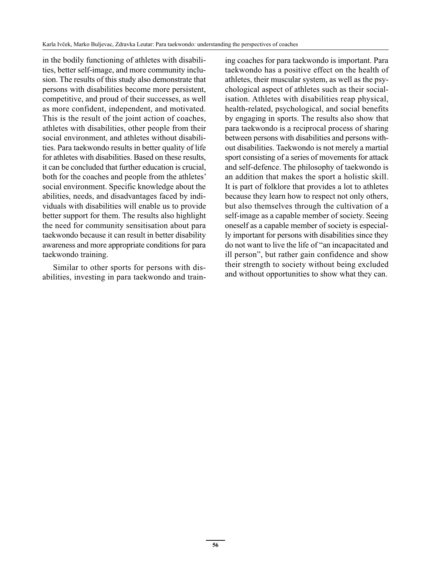in the bodily functioning of athletes with disabilities, better self-image, and more community inclusion. The results of this study also demonstrate that persons with disabilities become more persistent, competitive, and proud of their successes, as well as more confident, independent, and motivated. This is the result of the joint action of coaches, athletes with disabilities, other people from their social environment, and athletes without disabilities. Para taekwondo results in better quality of life for athletes with disabilities. Based on these results, it can be concluded that further education is crucial, both for the coaches and people from the athletes' social environment. Specific knowledge about the abilities, needs, and disadvantages faced by individuals with disabilities will enable us to provide better support for them. The results also highlight the need for community sensitisation about para taekwondo because it can result in better disability awareness and more appropriate conditions for para taekwondo training.

Similar to other sports for persons with disabilities, investing in para taekwondo and training coaches for para taekwondo is important. Para taekwondo has a positive effect on the health of athletes, their muscular system, as well as the psychological aspect of athletes such as their socialisation. Athletes with disabilities reap physical, health-related, psychological, and social benefits by engaging in sports. The results also show that para taekwondo is a reciprocal process of sharing between persons with disabilities and persons without disabilities. Taekwondo is not merely a martial sport consisting of a series of movements for attack and self-defence. The philosophy of taekwondo is an addition that makes the sport a holistic skill. It is part of folklore that provides a lot to athletes because they learn how to respect not only others, but also themselves through the cultivation of a self-image as a capable member of society. Seeing oneself as a capable member of society is especially important for persons with disabilities since they do not want to live the life of "an incapacitated and ill person", but rather gain confidence and show their strength to society without being excluded and without opportunities to show what they can.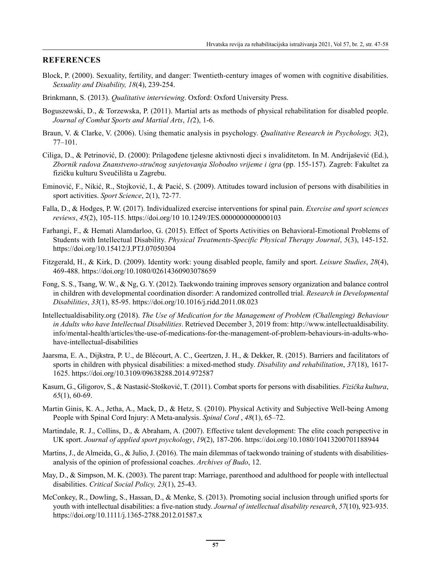#### **REFERENCES**

- Block, P. (2000). Sexuality, fertility, and danger: Twentieth-century images of women with cognitive disabilities. *Sexuality and Disability, 18*(4), 239-254.
- Brinkmann, S. (2013). *Qualitative interviewing*. Oxford: Oxford University Press.
- Boguszewski, D., & Torzewska, P. (2011). Martial arts as methods of physical rehabilitation for disabled people. *Journal of Combat Sports and Martial Arts*, *1(*2), 1-6.
- Braun, V. & Clarke, V. (2006). Using thematic analysis in psychology. *Qualitative Research in Psychology, 3*(2), 77–101.
- Ciliga, D., & Petrinović, D. (2000): Prilagođene tjelesne aktivnosti djeci s invaliditetom. In M. Andrijašević (Ed.), *Zbornik radova Znanstveno-stručnog savjetovanja Slobodno vrijeme i igra* (pp. 155-157)*.* Zagreb: Fakultet za fizičku kulturu Sveučilišta u Zagrebu.
- Eminović, F., Nikić, R., Stojković, I., & Pacić, S. (2009). Attitudes toward inclusion of persons with disabilities in sport activities. *Sport Science*, 2(1), 72-77.
- Falla, D., & Hodges, P. W. (2017). Individualized exercise interventions for spinal pain. *Exercise and sport sciences reviews*, *45*(2), 105-115. https://doi.org/10 10.1249/JES.0000000000000103
- Farhangi, F., & Hemati Alamdarloo, G. (2015). Effect of Sports Activities on Behavioral-Emotional Problems of Students with Intellectual Disability. *Physical Treatments-Specific Physical Therapy Journal*, *5*(3), 145-152. https://doi.org/10.15412/J.PTJ.07050304
- Fitzgerald, H., & Kirk, D. (2009). Identity work: young disabled people, family and sport. *Leisure Studies*, *28*(4), 469-488. https://doi.org/10.1080/02614360903078659
- Fong, S. S., Tsang, W. W., & Ng, G. Y. (2012). Taekwondo training improves sensory organization and balance control in children with developmental coordination disorder: A randomized controlled trial. *Research in Developmental Disabilities*, *33*(1), 85-95. https://doi.org/10.1016/j.ridd.2011.08.023
- Intellectualdisability.org (2018). *The Use of Medication for the Management of Problem (Challenging) Behaviour in Adults who have Intellectual Disabilities*. Retrieved December 3, 2019 from: http://www.intellectualdisability. info/mental-health/articles/the-use-of-medications-for-the-management-of-problem-behaviours-in-adults-whohave-intellectual-disabilities
- Jaarsma, E. A., Dijkstra, P. U., de Blécourt, A. C., Geertzen, J. H., & Dekker, R. (2015). Barriers and facilitators of sports in children with physical disabilities: a mixed-method study. *Disability and rehabilitation*, *37*(18), 1617- 1625. https://doi.org/10.3109/09638288.2014.972587
- Kasum, G., Gligorov, S., & Nastasić-Stošković, T. (2011). Combat sports for persons with disabilities. *Fizička kultura*, *65*(1), 60-69.
- Martin Ginis, K. A., Jetha, A., Mack, D., & Hetz, S. (2010). Physical Activity and Subjective Well-being Among People with Spinal Cord Injury: A Meta-analysis. *Spinal Cord* , *48*(1), 65–72.
- Martindale, R. J., Collins, D., & Abraham, A. (2007). Effective talent development: The elite coach perspective in UK sport. *Journal of applied sport psychology*, *19*(2), 187-206. https://doi.org/10.1080/10413200701188944
- Martins, J., de Almeida, G., & Julio, J. (2016). The main dilemmas of taekwondo training of students with disabilitiesanalysis of the opinion of professional coaches. *Archives of Budo*, 12.
- May, D., & Simpson, M. K. (2003). The parent trap: Marriage, parenthood and adulthood for people with intellectual disabilities. *Critical Social Policy, 23*(1), 25-43.
- McConkey, R., Dowling, S., Hassan, D., & Menke, S. (2013). Promoting social inclusion through unified sports for youth with intellectual disabilities: a five‐nation study. *Journal of intellectual disability research*, *57*(10), 923-935. https://doi.org/10.1111/j.1365-2788.2012.01587.x